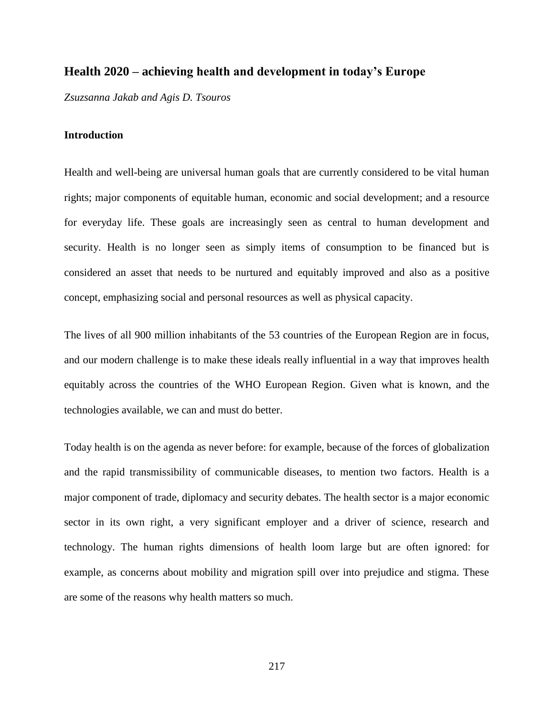# **Health 2020 – achieving health and development in today's Europe**

*Zsuzsanna Jakab and Agis D. Tsouros*

### **Introduction**

Health and well-being are universal human goals that are currently considered to be vital human rights; major components of equitable human, economic and social development; and a resource for everyday life. These goals are increasingly seen as central to human development and security. Health is no longer seen as simply items of consumption to be financed but is considered an asset that needs to be nurtured and equitably improved and also as a positive concept, emphasizing social and personal resources as well as physical capacity.

The lives of all 900 million inhabitants of the 53 countries of the European Region are in focus, and our modern challenge is to make these ideals really influential in a way that improves health equitably across the countries of the WHO European Region. Given what is known, and the technologies available, we can and must do better.

Today health is on the agenda as never before: for example, because of the forces of globalization and the rapid transmissibility of communicable diseases, to mention two factors. Health is a major component of trade, diplomacy and security debates. The health sector is a major economic sector in its own right, a very significant employer and a driver of science, research and technology. The human rights dimensions of health loom large but are often ignored: for example, as concerns about mobility and migration spill over into prejudice and stigma. These are some of the reasons why health matters so much.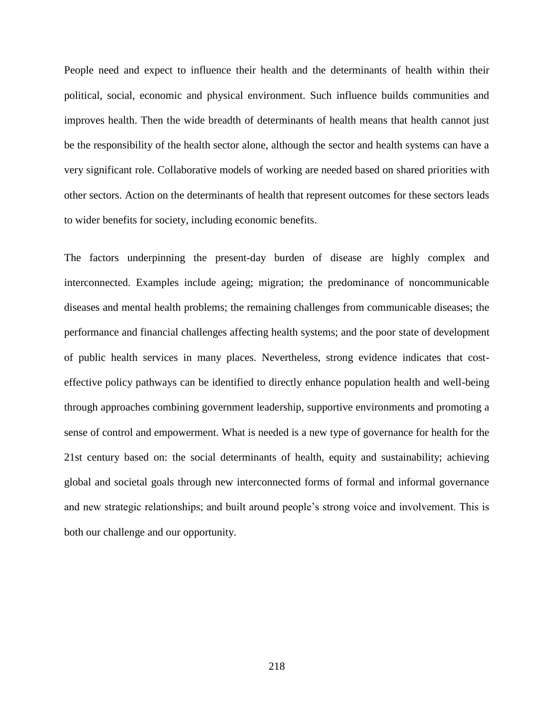People need and expect to influence their health and the determinants of health within their political, social, economic and physical environment. Such influence builds communities and improves health. Then the wide breadth of determinants of health means that health cannot just be the responsibility of the health sector alone, although the sector and health systems can have a very significant role. Collaborative models of working are needed based on shared priorities with other sectors. Action on the determinants of health that represent outcomes for these sectors leads to wider benefits for society, including economic benefits.

The factors underpinning the present-day burden of disease are highly complex and interconnected. Examples include ageing; migration; the predominance of noncommunicable diseases and mental health problems; the remaining challenges from communicable diseases; the performance and financial challenges affecting health systems; and the poor state of development of public health services in many places. Nevertheless, strong evidence indicates that costeffective policy pathways can be identified to directly enhance population health and well-being through approaches combining government leadership, supportive environments and promoting a sense of control and empowerment. What is needed is a new type of governance for health for the 21st century based on: the social determinants of health, equity and sustainability; achieving global and societal goals through new interconnected forms of formal and informal governance and new strategic relationships; and built around people's strong voice and involvement. This is both our challenge and our opportunity.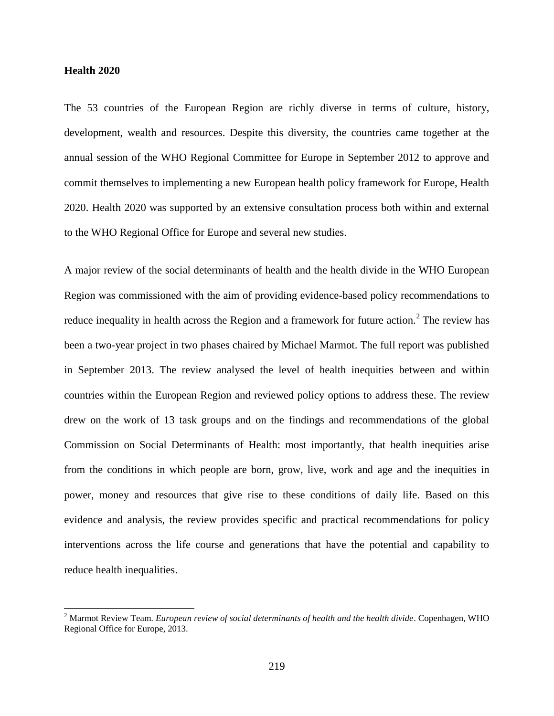## **Health 2020**

 $\overline{\phantom{a}}$ 

The 53 countries of the European Region are richly diverse in terms of culture, history, development, wealth and resources. Despite this diversity, the countries came together at the annual session of the WHO Regional Committee for Europe in September 2012 to approve and commit themselves to implementing a new European health policy framework for Europe, Health 2020. Health 2020 was supported by an extensive consultation process both within and external to the WHO Regional Office for Europe and several new studies.

A major review of the social determinants of health and the health divide in the WHO European Region was commissioned with the aim of providing evidence-based policy recommendations to reduce inequality in health across the Region and a framework for future action.<sup>2</sup> The review has been a two-year project in two phases chaired by Michael Marmot. The full report was published in September 2013. The review analysed the level of health inequities between and within countries within the European Region and reviewed policy options to address these. The review drew on the work of 13 task groups and on the findings and recommendations of the global Commission on Social Determinants of Health: most importantly, that health inequities arise from the conditions in which people are born, grow, live, work and age and the inequities in power, money and resources that give rise to these conditions of daily life. Based on this evidence and analysis, the review provides specific and practical recommendations for policy interventions across the life course and generations that have the potential and capability to reduce health inequalities.

<sup>2</sup> Marmot Review Team. *European review of social determinants of health and the health divide*. Copenhagen, WHO Regional Office for Europe, 2013.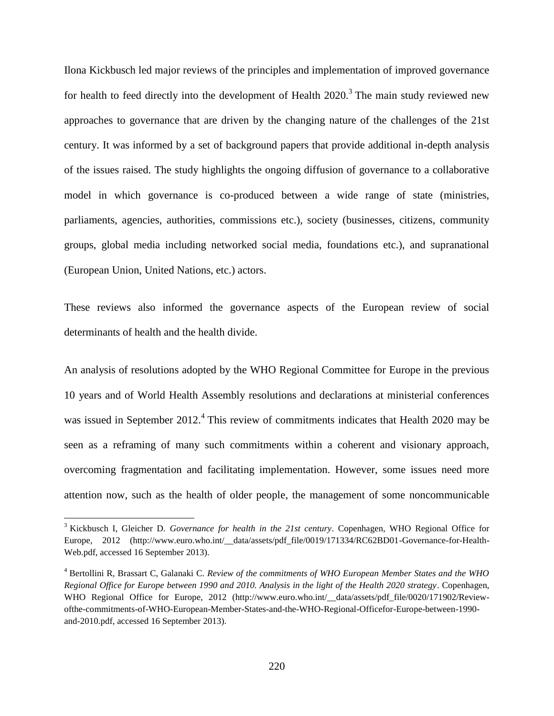Ilona Kickbusch led major reviews of the principles and implementation of improved governance for health to feed directly into the development of Health  $2020$ .<sup>3</sup> The main study reviewed new approaches to governance that are driven by the changing nature of the challenges of the 21st century. It was informed by a set of background papers that provide additional in-depth analysis of the issues raised. The study highlights the ongoing diffusion of governance to a collaborative model in which governance is co-produced between a wide range of state (ministries, parliaments, agencies, authorities, commissions etc.), society (businesses, citizens, community groups, global media including networked social media, foundations etc.), and supranational (European Union, United Nations, etc.) actors.

These reviews also informed the governance aspects of the European review of social determinants of health and the health divide.

An analysis of resolutions adopted by the WHO Regional Committee for Europe in the previous 10 years and of World Health Assembly resolutions and declarations at ministerial conferences was issued in September 2012.<sup>4</sup> This review of commitments indicates that Health 2020 may be seen as a reframing of many such commitments within a coherent and visionary approach, overcoming fragmentation and facilitating implementation. However, some issues need more attention now, such as the health of older people, the management of some noncommunicable

 $\overline{\phantom{a}}$ 

<sup>3</sup> Kickbusch I, Gleicher D. *Governance for health in the 21st century*. Copenhagen, WHO Regional Office for Europe, 2012 (http://www.euro.who.int/\_\_data/assets/pdf\_file/0019/171334/RC62BD01-Governance-for-Health-Web.pdf, accessed 16 September 2013).

<sup>4</sup> Bertollini R, Brassart C, Galanaki C. *Review of the commitments of WHO European Member States and the WHO Regional Office for Europe between 1990 and 2010. Analysis in the light of the Health 2020 strategy*. Copenhagen, WHO Regional Office for Europe, 2012 (http://www.euro.who.int/\_\_data/assets/pdf\_file/0020/171902/Reviewofthe-commitments-of-WHO-European-Member-States-and-the-WHO-Regional-Officefor-Europe-between-1990 and-2010.pdf, accessed 16 September 2013).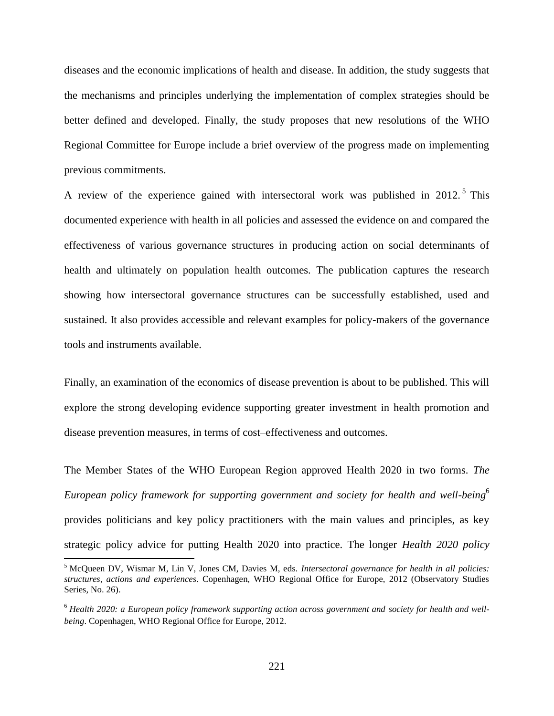diseases and the economic implications of health and disease. In addition, the study suggests that the mechanisms and principles underlying the implementation of complex strategies should be better defined and developed. Finally, the study proposes that new resolutions of the WHO Regional Committee for Europe include a brief overview of the progress made on implementing previous commitments.

A review of the experience gained with intersectoral work was published in  $2012$ .<sup>5</sup> This documented experience with health in all policies and assessed the evidence on and compared the effectiveness of various governance structures in producing action on social determinants of health and ultimately on population health outcomes. The publication captures the research showing how intersectoral governance structures can be successfully established, used and sustained. It also provides accessible and relevant examples for policy-makers of the governance tools and instruments available.

Finally, an examination of the economics of disease prevention is about to be published. This will explore the strong developing evidence supporting greater investment in health promotion and disease prevention measures, in terms of cost–effectiveness and outcomes.

The Member States of the WHO European Region approved Health 2020 in two forms. *The European policy framework for supporting government and society for health and well-being*<sup>6</sup> provides politicians and key policy practitioners with the main values and principles, as key strategic policy advice for putting Health 2020 into practice. The longer *Health 2020 policy* 

l

<sup>5</sup> McQueen DV, Wismar M, Lin V, Jones CM, Davies M, eds. *Intersectoral governance for health in all policies: structures, actions and experiences*. Copenhagen, WHO Regional Office for Europe, 2012 (Observatory Studies Series, No. 26).

<sup>6</sup> *Health 2020: a European policy framework supporting action across government and society for health and wellbeing*. Copenhagen, WHO Regional Office for Europe, 2012.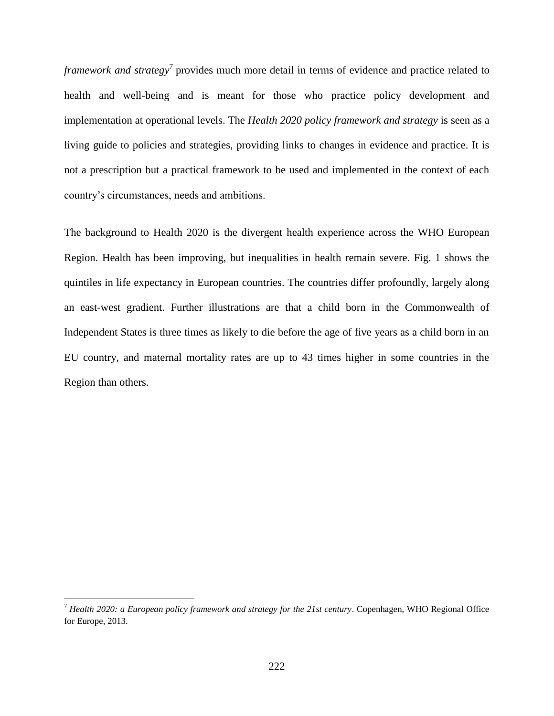*framework and strategy*<sup>7</sup> provides much more detail in terms of evidence and practice related to health and well-being and is meant for those who practice policy development and implementation at operational levels. The *Health 2020 policy framework and strategy* is seen as a living guide to policies and strategies, providing links to changes in evidence and practice. It is not a prescription but a practical framework to be used and implemented in the context of each country's circumstances, needs and ambitions.

The background to Health 2020 is the divergent health experience across the WHO European Region. Health has been improving, but inequalities in health remain severe. Fig. 1 shows the quintiles in life expectancy in European countries. The countries differ profoundly, largely along an east-west gradient. Further illustrations are that a child born in the Commonwealth of Independent States is three times as likely to die before the age of five years as a child born in an EU country, and maternal mortality rates are up to 43 times higher in some countries in the Region than others.

 $\overline{a}$ 

<sup>7</sup> *Health 2020: a European policy framework and strategy for the 21st century*. Copenhagen, WHO Regional Office for Europe, 2013.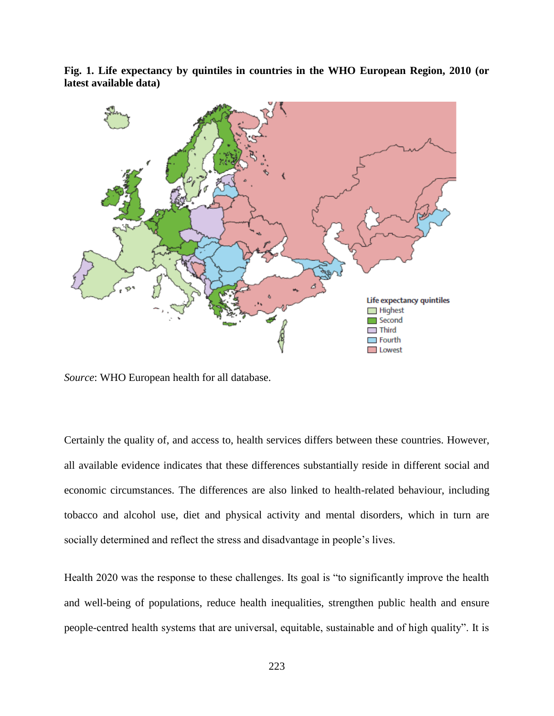**Fig. 1. Life expectancy by quintiles in countries in the WHO European Region, 2010 (or latest available data)**



*Source*: WHO European health for all database.

Certainly the quality of, and access to, health services differs between these countries. However, all available evidence indicates that these differences substantially reside in different social and economic circumstances. The differences are also linked to health-related behaviour, including tobacco and alcohol use, diet and physical activity and mental disorders, which in turn are socially determined and reflect the stress and disadvantage in people's lives.

Health 2020 was the response to these challenges. Its goal is "to significantly improve the health and well-being of populations, reduce health inequalities, strengthen public health and ensure people-centred health systems that are universal, equitable, sustainable and of high quality". It is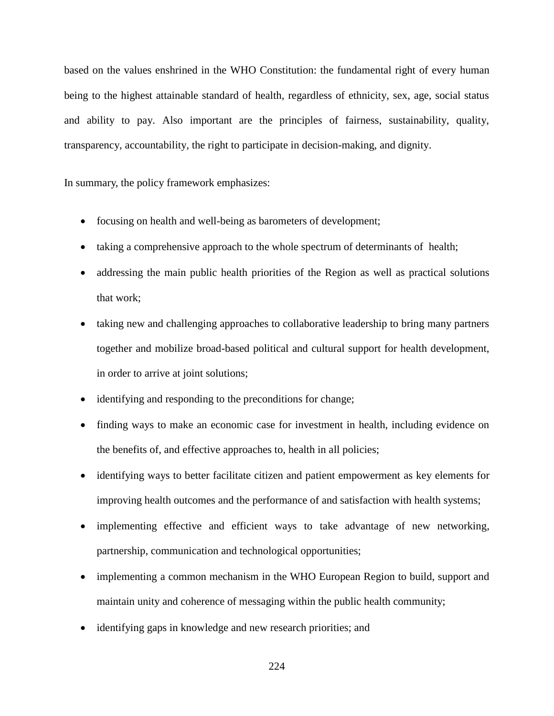based on the values enshrined in the WHO Constitution: the fundamental right of every human being to the highest attainable standard of health, regardless of ethnicity, sex, age, social status and ability to pay. Also important are the principles of fairness, sustainability, quality, transparency, accountability, the right to participate in decision-making, and dignity.

In summary, the policy framework emphasizes:

- focusing on health and well-being as barometers of development;
- taking a comprehensive approach to the whole spectrum of determinants of health;
- addressing the main public health priorities of the Region as well as practical solutions that work;
- taking new and challenging approaches to collaborative leadership to bring many partners together and mobilize broad-based political and cultural support for health development, in order to arrive at joint solutions;
- identifying and responding to the preconditions for change;
- finding ways to make an economic case for investment in health, including evidence on the benefits of, and effective approaches to, health in all policies;
- identifying ways to better facilitate citizen and patient empowerment as key elements for improving health outcomes and the performance of and satisfaction with health systems;
- implementing effective and efficient ways to take advantage of new networking, partnership, communication and technological opportunities;
- implementing a common mechanism in the WHO European Region to build, support and maintain unity and coherence of messaging within the public health community;
- identifying gaps in knowledge and new research priorities; and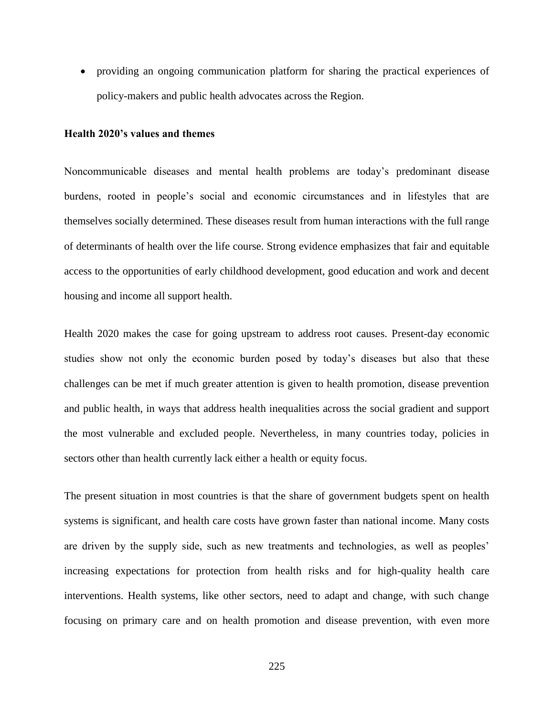providing an ongoing communication platform for sharing the practical experiences of policy-makers and public health advocates across the Region.

## **Health 2020's values and themes**

Noncommunicable diseases and mental health problems are today's predominant disease burdens, rooted in people's social and economic circumstances and in lifestyles that are themselves socially determined. These diseases result from human interactions with the full range of determinants of health over the life course. Strong evidence emphasizes that fair and equitable access to the opportunities of early childhood development, good education and work and decent housing and income all support health.

Health 2020 makes the case for going upstream to address root causes. Present-day economic studies show not only the economic burden posed by today's diseases but also that these challenges can be met if much greater attention is given to health promotion, disease prevention and public health, in ways that address health inequalities across the social gradient and support the most vulnerable and excluded people. Nevertheless, in many countries today, policies in sectors other than health currently lack either a health or equity focus.

The present situation in most countries is that the share of government budgets spent on health systems is significant, and health care costs have grown faster than national income. Many costs are driven by the supply side, such as new treatments and technologies, as well as peoples' increasing expectations for protection from health risks and for high-quality health care interventions. Health systems, like other sectors, need to adapt and change, with such change focusing on primary care and on health promotion and disease prevention, with even more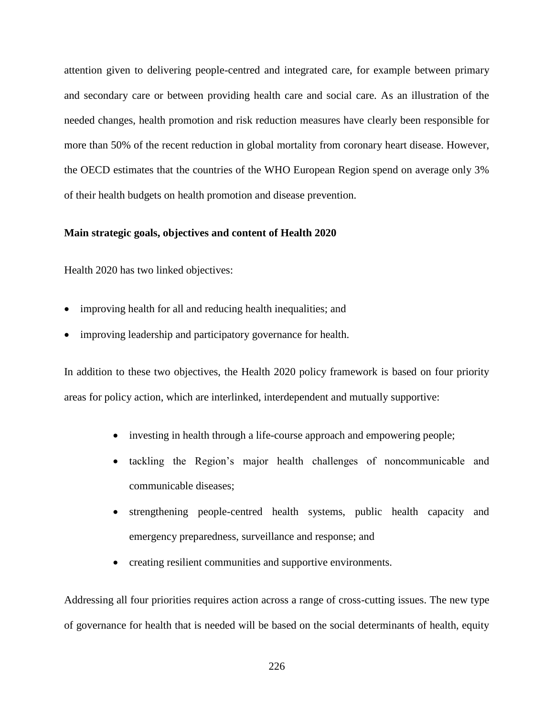attention given to delivering people-centred and integrated care, for example between primary and secondary care or between providing health care and social care. As an illustration of the needed changes, health promotion and risk reduction measures have clearly been responsible for more than 50% of the recent reduction in global mortality from coronary heart disease. However, the OECD estimates that the countries of the WHO European Region spend on average only 3% of their health budgets on health promotion and disease prevention.

### **Main strategic goals, objectives and content of Health 2020**

Health 2020 has two linked objectives:

- improving health for all and reducing health inequalities; and
- improving leadership and participatory governance for health.

In addition to these two objectives, the Health 2020 policy framework is based on four priority areas for policy action, which are interlinked, interdependent and mutually supportive:

- investing in health through a life-course approach and empowering people;
- tackling the Region's major health challenges of noncommunicable and communicable diseases;
- strengthening people-centred health systems, public health capacity and emergency preparedness, surveillance and response; and
- creating resilient communities and supportive environments.

Addressing all four priorities requires action across a range of cross-cutting issues. The new type of governance for health that is needed will be based on the social determinants of health, equity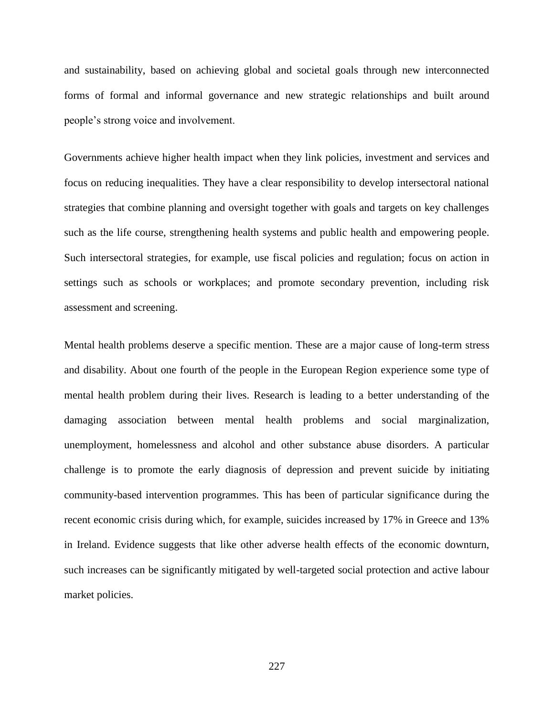and sustainability, based on achieving global and societal goals through new interconnected forms of formal and informal governance and new strategic relationships and built around people's strong voice and involvement.

Governments achieve higher health impact when they link policies, investment and services and focus on reducing inequalities. They have a clear responsibility to develop intersectoral national strategies that combine planning and oversight together with goals and targets on key challenges such as the life course, strengthening health systems and public health and empowering people. Such intersectoral strategies, for example, use fiscal policies and regulation; focus on action in settings such as schools or workplaces; and promote secondary prevention, including risk assessment and screening.

Mental health problems deserve a specific mention. These are a major cause of long-term stress and disability. About one fourth of the people in the European Region experience some type of mental health problem during their lives. Research is leading to a better understanding of the damaging association between mental health problems and social marginalization, unemployment, homelessness and alcohol and other substance abuse disorders. A particular challenge is to promote the early diagnosis of depression and prevent suicide by initiating community-based intervention programmes. This has been of particular significance during the recent economic crisis during which, for example, suicides increased by 17% in Greece and 13% in Ireland. Evidence suggests that like other adverse health effects of the economic downturn, such increases can be significantly mitigated by well-targeted social protection and active labour market policies.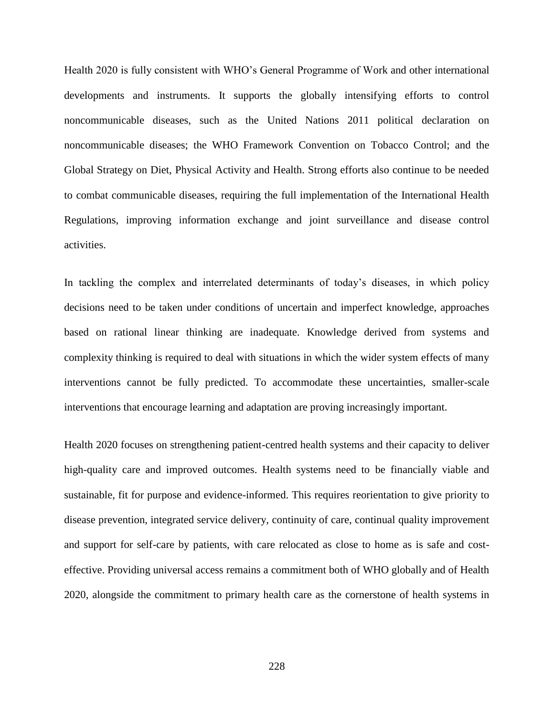Health 2020 is fully consistent with WHO's General Programme of Work and other international developments and instruments. It supports the globally intensifying efforts to control noncommunicable diseases, such as the United Nations 2011 political declaration on noncommunicable diseases; the WHO Framework Convention on Tobacco Control; and the Global Strategy on Diet, Physical Activity and Health. Strong efforts also continue to be needed to combat communicable diseases, requiring the full implementation of the International Health Regulations, improving information exchange and joint surveillance and disease control activities.

In tackling the complex and interrelated determinants of today's diseases, in which policy decisions need to be taken under conditions of uncertain and imperfect knowledge, approaches based on rational linear thinking are inadequate. Knowledge derived from systems and complexity thinking is required to deal with situations in which the wider system effects of many interventions cannot be fully predicted. To accommodate these uncertainties, smaller-scale interventions that encourage learning and adaptation are proving increasingly important.

Health 2020 focuses on strengthening patient-centred health systems and their capacity to deliver high-quality care and improved outcomes. Health systems need to be financially viable and sustainable, fit for purpose and evidence-informed. This requires reorientation to give priority to disease prevention, integrated service delivery, continuity of care, continual quality improvement and support for self-care by patients, with care relocated as close to home as is safe and costeffective. Providing universal access remains a commitment both of WHO globally and of Health 2020, alongside the commitment to primary health care as the cornerstone of health systems in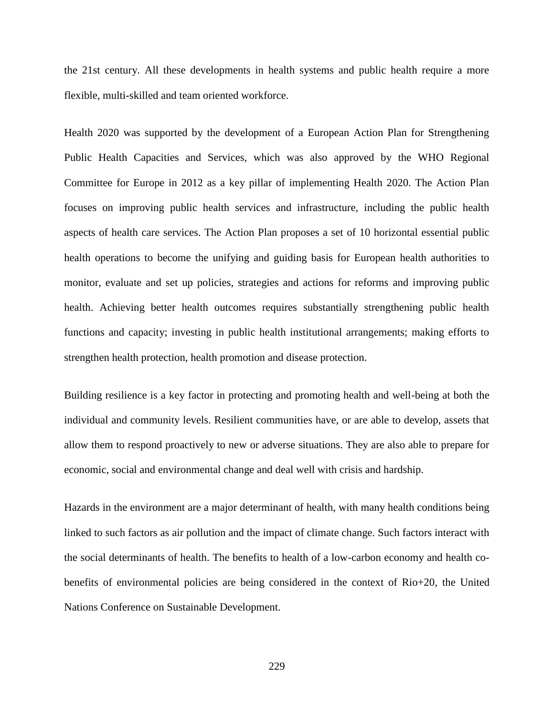the 21st century. All these developments in health systems and public health require a more flexible, multi-skilled and team oriented workforce.

Health 2020 was supported by the development of a European Action Plan for Strengthening Public Health Capacities and Services, which was also approved by the WHO Regional Committee for Europe in 2012 as a key pillar of implementing Health 2020. The Action Plan focuses on improving public health services and infrastructure, including the public health aspects of health care services. The Action Plan proposes a set of 10 horizontal essential public health operations to become the unifying and guiding basis for European health authorities to monitor, evaluate and set up policies, strategies and actions for reforms and improving public health. Achieving better health outcomes requires substantially strengthening public health functions and capacity; investing in public health institutional arrangements; making efforts to strengthen health protection, health promotion and disease protection.

Building resilience is a key factor in protecting and promoting health and well-being at both the individual and community levels. Resilient communities have, or are able to develop, assets that allow them to respond proactively to new or adverse situations. They are also able to prepare for economic, social and environmental change and deal well with crisis and hardship.

Hazards in the environment are a major determinant of health, with many health conditions being linked to such factors as air pollution and the impact of climate change. Such factors interact with the social determinants of health. The benefits to health of a low-carbon economy and health cobenefits of environmental policies are being considered in the context of Rio+20, the United Nations Conference on Sustainable Development.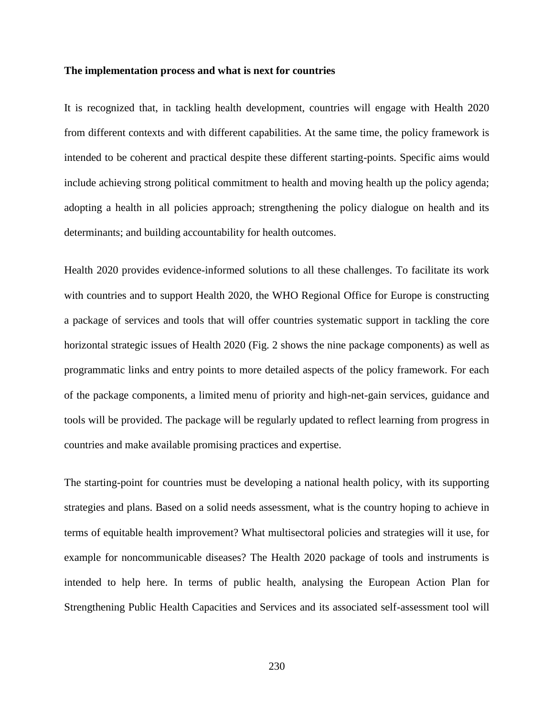#### **The implementation process and what is next for countries**

It is recognized that, in tackling health development, countries will engage with Health 2020 from different contexts and with different capabilities. At the same time, the policy framework is intended to be coherent and practical despite these different starting-points. Specific aims would include achieving strong political commitment to health and moving health up the policy agenda; adopting a health in all policies approach; strengthening the policy dialogue on health and its determinants; and building accountability for health outcomes.

Health 2020 provides evidence-informed solutions to all these challenges. To facilitate its work with countries and to support Health 2020, the WHO Regional Office for Europe is constructing a package of services and tools that will offer countries systematic support in tackling the core horizontal strategic issues of Health 2020 (Fig. 2 shows the nine package components) as well as programmatic links and entry points to more detailed aspects of the policy framework. For each of the package components, a limited menu of priority and high-net-gain services, guidance and tools will be provided. The package will be regularly updated to reflect learning from progress in countries and make available promising practices and expertise.

The starting-point for countries must be developing a national health policy, with its supporting strategies and plans. Based on a solid needs assessment, what is the country hoping to achieve in terms of equitable health improvement? What multisectoral policies and strategies will it use, for example for noncommunicable diseases? The Health 2020 package of tools and instruments is intended to help here. In terms of public health, analysing the European Action Plan for Strengthening Public Health Capacities and Services and its associated self-assessment tool will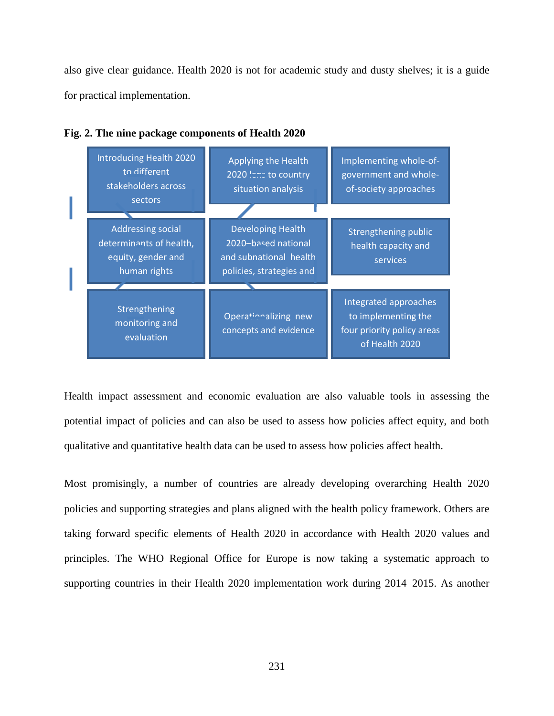also give clear guidance. Health 2020 is not for academic study and dusty shelves; it is a guide for practical implementation.

| Introducing Health 2020<br>to different<br>stakeholders across<br>sectors                 | Applying the Health<br>2020 lens to country<br>situation analysis                                     | Implementing whole-of-<br>government and whole-<br>of-society approaches                     |
|-------------------------------------------------------------------------------------------|-------------------------------------------------------------------------------------------------------|----------------------------------------------------------------------------------------------|
| <b>Addressing social</b><br>determinants of health,<br>equity, gender and<br>human rights | <b>Developing Health</b><br>2020-based national<br>and subnational health<br>policies, strategies and | Strengthening public<br>health capacity and<br>services                                      |
|                                                                                           |                                                                                                       |                                                                                              |
| Strengthening<br>monitoring and<br>evaluation                                             | Operationalizing new<br>concepts and evidence                                                         | Integrated approaches<br>to implementing the<br>four priority policy areas<br>of Health 2020 |



Health impact assessment and economic evaluation are also valuable tools in assessing the potential impact of policies and can also be used to assess how policies affect equity, and both qualitative and quantitative health data can be used to assess how policies affect health.

Most promisingly, a number of countries are already developing overarching Health 2020 policies and supporting strategies and plans aligned with the health policy framework. Others are taking forward specific elements of Health 2020 in accordance with Health 2020 values and principles. The WHO Regional Office for Europe is now taking a systematic approach to supporting countries in their Health 2020 implementation work during 2014–2015. As another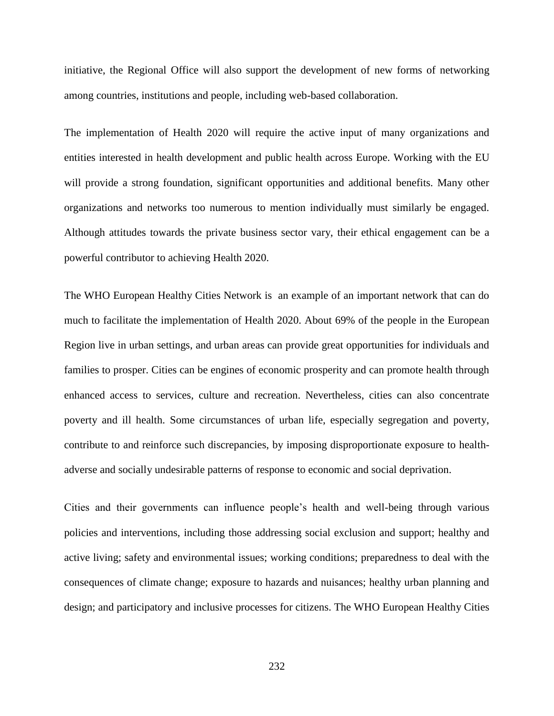initiative, the Regional Office will also support the development of new forms of networking among countries, institutions and people, including web-based collaboration.

The implementation of Health 2020 will require the active input of many organizations and entities interested in health development and public health across Europe. Working with the EU will provide a strong foundation, significant opportunities and additional benefits. Many other organizations and networks too numerous to mention individually must similarly be engaged. Although attitudes towards the private business sector vary, their ethical engagement can be a powerful contributor to achieving Health 2020.

The WHO European Healthy Cities Network is an example of an important network that can do much to facilitate the implementation of Health 2020. About 69% of the people in the European Region live in urban settings, and urban areas can provide great opportunities for individuals and families to prosper. Cities can be engines of economic prosperity and can promote health through enhanced access to services, culture and recreation. Nevertheless, cities can also concentrate poverty and ill health. Some circumstances of urban life, especially segregation and poverty, contribute to and reinforce such discrepancies, by imposing disproportionate exposure to healthadverse and socially undesirable patterns of response to economic and social deprivation.

Cities and their governments can influence people's health and well-being through various policies and interventions, including those addressing social exclusion and support; healthy and active living; safety and environmental issues; working conditions; preparedness to deal with the consequences of climate change; exposure to hazards and nuisances; healthy urban planning and design; and participatory and inclusive processes for citizens. The WHO European Healthy Cities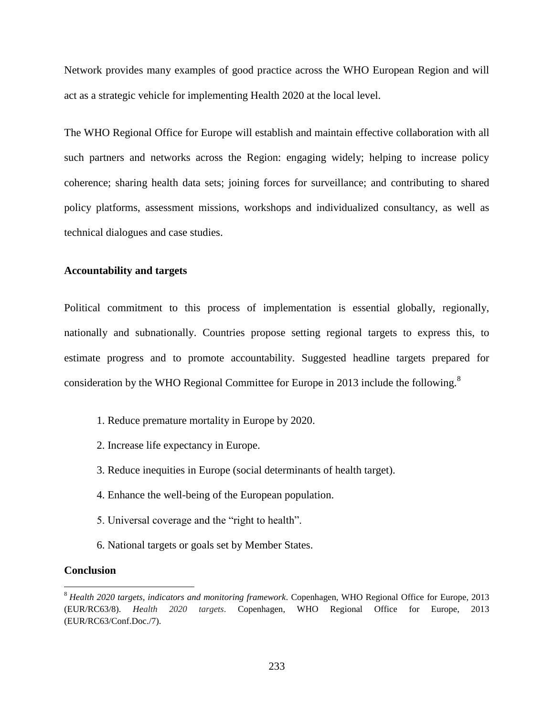Network provides many examples of good practice across the WHO European Region and will act as a strategic vehicle for implementing Health 2020 at the local level.

The WHO Regional Office for Europe will establish and maintain effective collaboration with all such partners and networks across the Region: engaging widely; helping to increase policy coherence; sharing health data sets; joining forces for surveillance; and contributing to shared policy platforms, assessment missions, workshops and individualized consultancy, as well as technical dialogues and case studies.

# **Accountability and targets**

Political commitment to this process of implementation is essential globally, regionally, nationally and subnationally. Countries propose setting regional targets to express this, to estimate progress and to promote accountability. Suggested headline targets prepared for consideration by the WHO Regional Committee for Europe in 2013 include the following.<sup>8</sup>

- 1. Reduce premature mortality in Europe by 2020.
- 2. Increase life expectancy in Europe.
- 3. Reduce inequities in Europe (social determinants of health target).
- 4. Enhance the well-being of the European population.
- 5. Universal coverage and the "right to health".
- 6. National targets or goals set by Member States.

#### **Conclusion**

 $\overline{\phantom{a}}$ 

<sup>8</sup> *Health 2020 targets, indicators and monitoring framework*. Copenhagen, WHO Regional Office for Europe, 2013 (EUR/RC63/8). *Health 2020 targets*. Copenhagen, WHO Regional Office for Europe, 2013 (EUR/RC63/Conf.Doc./7).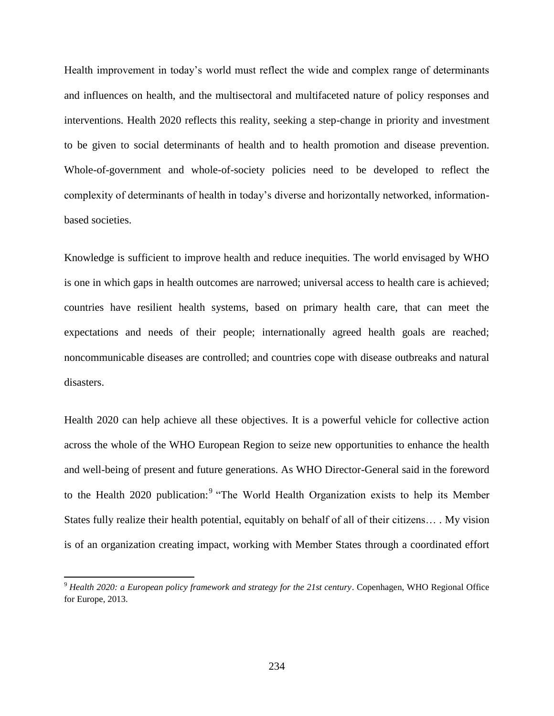Health improvement in today's world must reflect the wide and complex range of determinants and influences on health, and the multisectoral and multifaceted nature of policy responses and interventions. Health 2020 reflects this reality, seeking a step-change in priority and investment to be given to social determinants of health and to health promotion and disease prevention. Whole-of-government and whole-of-society policies need to be developed to reflect the complexity of determinants of health in today's diverse and horizontally networked, informationbased societies.

Knowledge is sufficient to improve health and reduce inequities. The world envisaged by WHO is one in which gaps in health outcomes are narrowed; universal access to health care is achieved; countries have resilient health systems, based on primary health care, that can meet the expectations and needs of their people; internationally agreed health goals are reached; noncommunicable diseases are controlled; and countries cope with disease outbreaks and natural disasters.

Health 2020 can help achieve all these objectives. It is a powerful vehicle for collective action across the whole of the WHO European Region to seize new opportunities to enhance the health and well-being of present and future generations. As WHO Director-General said in the foreword to the Health 2020 publication:<sup>9</sup> "The World Health Organization exists to help its Member States fully realize their health potential, equitably on behalf of all of their citizens… . My vision is of an organization creating impact, working with Member States through a coordinated effort

 $\overline{a}$ 

<sup>9</sup> *Health 2020: a European policy framework and strategy for the 21st century*. Copenhagen, WHO Regional Office for Europe, 2013.